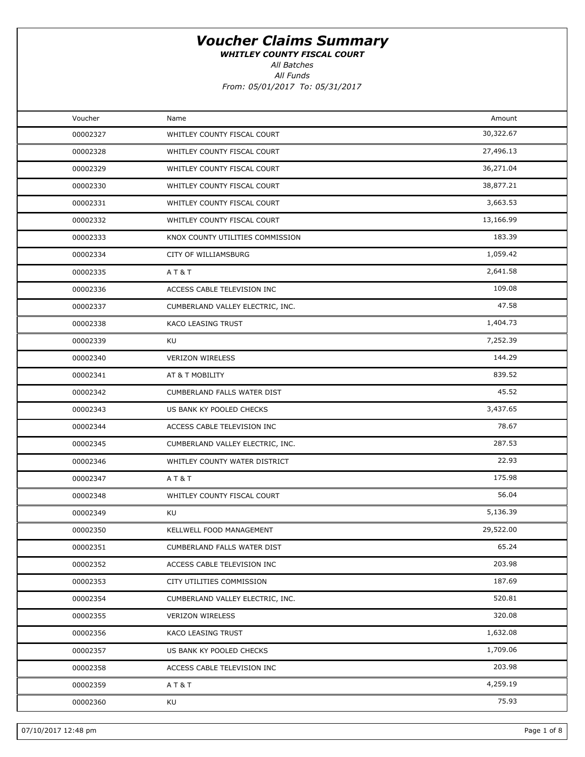WHITLEY COUNTY FISCAL COURT

All Batches

| Voucher  | Name                             | Amount    |
|----------|----------------------------------|-----------|
| 00002327 | WHITLEY COUNTY FISCAL COURT      | 30,322.67 |
| 00002328 | WHITLEY COUNTY FISCAL COURT      | 27,496.13 |
| 00002329 | WHITLEY COUNTY FISCAL COURT      | 36,271.04 |
| 00002330 | WHITLEY COUNTY FISCAL COURT      | 38,877.21 |
| 00002331 | WHITLEY COUNTY FISCAL COURT      | 3,663.53  |
| 00002332 | WHITLEY COUNTY FISCAL COURT      | 13,166.99 |
| 00002333 | KNOX COUNTY UTILITIES COMMISSION | 183.39    |
| 00002334 | CITY OF WILLIAMSBURG             | 1,059.42  |
| 00002335 | AT&T                             | 2,641.58  |
| 00002336 | ACCESS CABLE TELEVISION INC      | 109.08    |
| 00002337 | CUMBERLAND VALLEY ELECTRIC, INC. | 47.58     |
| 00002338 | KACO LEASING TRUST               | 1,404.73  |
| 00002339 | KU                               | 7,252.39  |
| 00002340 | <b>VERIZON WIRELESS</b>          | 144.29    |
| 00002341 | AT & T MOBILITY                  | 839.52    |
| 00002342 | CUMBERLAND FALLS WATER DIST      | 45.52     |
| 00002343 | US BANK KY POOLED CHECKS         | 3,437.65  |
| 00002344 | ACCESS CABLE TELEVISION INC      | 78.67     |
| 00002345 | CUMBERLAND VALLEY ELECTRIC, INC. | 287.53    |
| 00002346 | WHITLEY COUNTY WATER DISTRICT    | 22.93     |
| 00002347 | AT&T                             | 175.98    |
| 00002348 | WHITLEY COUNTY FISCAL COURT      | 56.04     |
| 00002349 | KU                               | 5,136.39  |
| 00002350 | KELLWELL FOOD MANAGEMENT         | 29,522.00 |
| 00002351 | CUMBERLAND FALLS WATER DIST      | 65.24     |
| 00002352 | ACCESS CABLE TELEVISION INC      | 203.98    |
| 00002353 | CITY UTILITIES COMMISSION        | 187.69    |
| 00002354 | CUMBERLAND VALLEY ELECTRIC, INC. | 520.81    |
| 00002355 | <b>VERIZON WIRELESS</b>          | 320.08    |
| 00002356 | KACO LEASING TRUST               | 1,632.08  |
| 00002357 | US BANK KY POOLED CHECKS         | 1,709.06  |
| 00002358 | ACCESS CABLE TELEVISION INC      | 203.98    |
| 00002359 | AT&T                             | 4,259.19  |
| 00002360 | KU                               | 75.93     |
|          |                                  |           |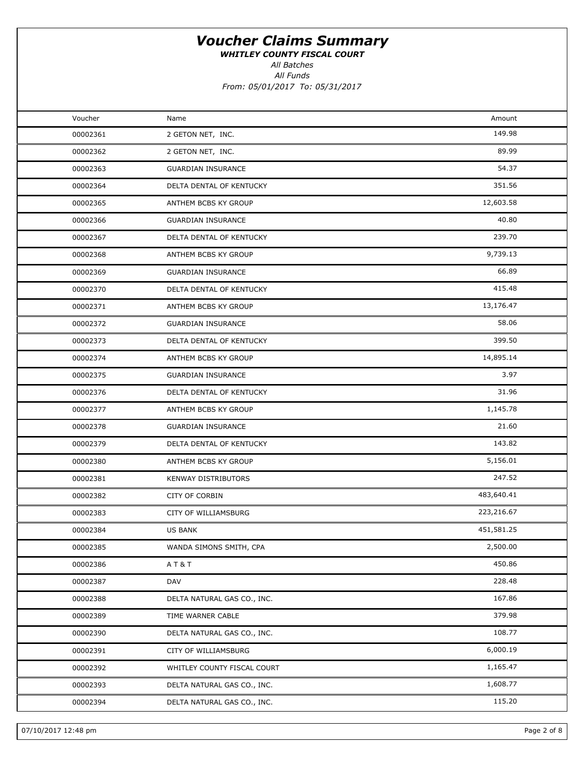WHITLEY COUNTY FISCAL COURT

All Batches

| Voucher  | Name                        | Amount     |  |
|----------|-----------------------------|------------|--|
| 00002361 | 2 GETON NET, INC.           | 149.98     |  |
| 00002362 | 2 GETON NET, INC.           | 89.99      |  |
| 00002363 | <b>GUARDIAN INSURANCE</b>   | 54.37      |  |
| 00002364 | DELTA DENTAL OF KENTUCKY    | 351.56     |  |
| 00002365 | ANTHEM BCBS KY GROUP        | 12,603.58  |  |
| 00002366 | <b>GUARDIAN INSURANCE</b>   | 40.80      |  |
| 00002367 | DELTA DENTAL OF KENTUCKY    | 239.70     |  |
| 00002368 | ANTHEM BCBS KY GROUP        | 9,739.13   |  |
| 00002369 | <b>GUARDIAN INSURANCE</b>   | 66.89      |  |
| 00002370 | DELTA DENTAL OF KENTUCKY    | 415.48     |  |
| 00002371 | ANTHEM BCBS KY GROUP        | 13,176.47  |  |
| 00002372 | <b>GUARDIAN INSURANCE</b>   | 58.06      |  |
| 00002373 | DELTA DENTAL OF KENTUCKY    | 399.50     |  |
| 00002374 | ANTHEM BCBS KY GROUP        | 14,895.14  |  |
| 00002375 | <b>GUARDIAN INSURANCE</b>   | 3.97       |  |
| 00002376 | DELTA DENTAL OF KENTUCKY    | 31.96      |  |
| 00002377 | ANTHEM BCBS KY GROUP        | 1,145.78   |  |
| 00002378 | <b>GUARDIAN INSURANCE</b>   | 21.60      |  |
| 00002379 | DELTA DENTAL OF KENTUCKY    | 143.82     |  |
| 00002380 | ANTHEM BCBS KY GROUP        | 5,156.01   |  |
| 00002381 | <b>KENWAY DISTRIBUTORS</b>  | 247.52     |  |
| 00002382 | CITY OF CORBIN              | 483,640.41 |  |
| 00002383 | CITY OF WILLIAMSBURG        | 223,216.67 |  |
| 00002384 | <b>US BANK</b>              | 451,581.25 |  |
| 00002385 | WANDA SIMONS SMITH, CPA     | 2,500.00   |  |
| 00002386 | AT&T                        | 450.86     |  |
| 00002387 | DAV                         | 228.48     |  |
| 00002388 | DELTA NATURAL GAS CO., INC. | 167.86     |  |
| 00002389 | TIME WARNER CABLE           | 379.98     |  |
| 00002390 | DELTA NATURAL GAS CO., INC. | 108.77     |  |
| 00002391 | CITY OF WILLIAMSBURG        | 6,000.19   |  |
| 00002392 | WHITLEY COUNTY FISCAL COURT | 1,165.47   |  |
| 00002393 | DELTA NATURAL GAS CO., INC. | 1,608.77   |  |
| 00002394 | DELTA NATURAL GAS CO., INC. | 115.20     |  |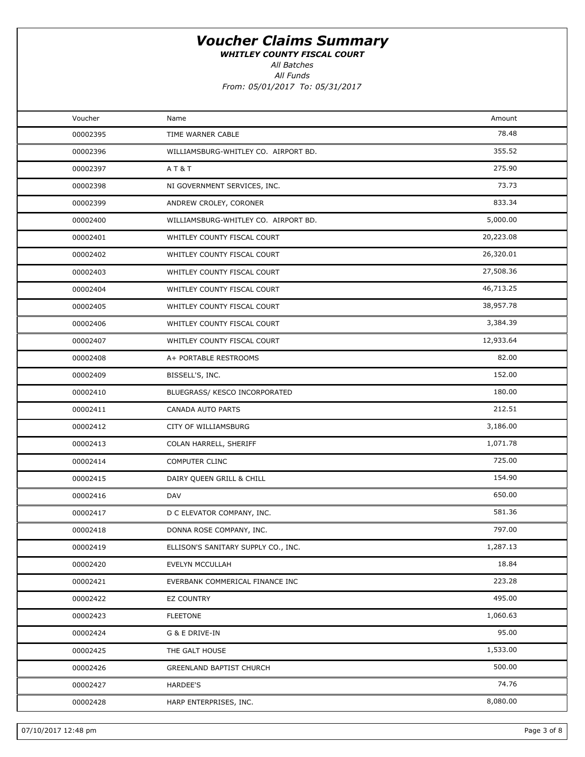WHITLEY COUNTY FISCAL COURT

All Batches

All Funds

From: 05/01/2017 To: 05/31/2017

| Voucher  | Name                                 | Amount    |  |
|----------|--------------------------------------|-----------|--|
| 00002395 | TIME WARNER CABLE                    | 78.48     |  |
| 00002396 | WILLIAMSBURG-WHITLEY CO. AIRPORT BD. | 355.52    |  |
| 00002397 | AT&T                                 | 275.90    |  |
| 00002398 | NI GOVERNMENT SERVICES, INC.         | 73.73     |  |
| 00002399 | ANDREW CROLEY, CORONER               | 833.34    |  |
| 00002400 | WILLIAMSBURG-WHITLEY CO. AIRPORT BD. | 5,000.00  |  |
| 00002401 | WHITLEY COUNTY FISCAL COURT          | 20,223.08 |  |
| 00002402 | WHITLEY COUNTY FISCAL COURT          | 26,320.01 |  |
| 00002403 | WHITLEY COUNTY FISCAL COURT          | 27,508.36 |  |
| 00002404 | WHITLEY COUNTY FISCAL COURT          | 46,713.25 |  |
| 00002405 | WHITLEY COUNTY FISCAL COURT          | 38,957.78 |  |
| 00002406 | WHITLEY COUNTY FISCAL COURT          | 3,384.39  |  |
| 00002407 | WHITLEY COUNTY FISCAL COURT          | 12,933.64 |  |
| 00002408 | A+ PORTABLE RESTROOMS                | 82.00     |  |
| 00002409 | BISSELL'S, INC.                      | 152.00    |  |
| 00002410 | BLUEGRASS/ KESCO INCORPORATED        | 180.00    |  |
| 00002411 | CANADA AUTO PARTS                    | 212.51    |  |
| 00002412 | CITY OF WILLIAMSBURG                 | 3,186.00  |  |
| 00002413 | COLAN HARRELL, SHERIFF               | 1,071.78  |  |
| 00002414 | COMPUTER CLINC                       | 725.00    |  |
| 00002415 | DAIRY QUEEN GRILL & CHILL            | 154.90    |  |
| 00002416 | <b>DAV</b>                           | 650.00    |  |
| 00002417 | D C ELEVATOR COMPANY, INC.           | 581.36    |  |
| 00002418 | DONNA ROSE COMPANY, INC.             | 797.00    |  |
| 00002419 | ELLISON'S SANITARY SUPPLY CO., INC.  | 1,287.13  |  |
| 00002420 | EVELYN MCCULLAH                      | 18.84     |  |
| 00002421 | EVERBANK COMMERICAL FINANCE INC      | 223.28    |  |
| 00002422 | EZ COUNTRY                           | 495.00    |  |
| 00002423 | <b>FLEETONE</b>                      | 1,060.63  |  |
| 00002424 | G & E DRIVE-IN                       | 95.00     |  |
| 00002425 | THE GALT HOUSE                       | 1,533.00  |  |
| 00002426 | GREENLAND BAPTIST CHURCH             | 500.00    |  |
| 00002427 | <b>HARDEE'S</b>                      | 74.76     |  |
| 00002428 | HARP ENTERPRISES, INC.               | 8,080.00  |  |
|          |                                      |           |  |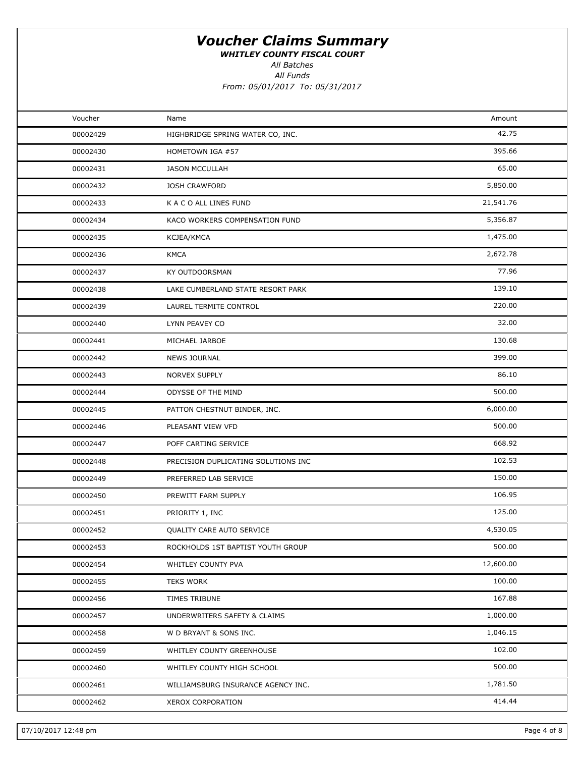WHITLEY COUNTY FISCAL COURT

All Batches

All Funds

From: 05/01/2017 To: 05/31/2017

| Voucher  | Name                                | Amount    |  |
|----------|-------------------------------------|-----------|--|
| 00002429 | HIGHBRIDGE SPRING WATER CO, INC.    | 42.75     |  |
| 00002430 | HOMETOWN IGA #57                    | 395.66    |  |
| 00002431 | <b>JASON MCCULLAH</b>               | 65.00     |  |
| 00002432 | <b>JOSH CRAWFORD</b>                | 5,850.00  |  |
| 00002433 | K A C O ALL LINES FUND              | 21,541.76 |  |
| 00002434 | KACO WORKERS COMPENSATION FUND      | 5,356.87  |  |
| 00002435 | KCJEA/KMCA                          | 1,475.00  |  |
| 00002436 | <b>KMCA</b>                         | 2,672.78  |  |
| 00002437 | KY OUTDOORSMAN                      | 77.96     |  |
| 00002438 | LAKE CUMBERLAND STATE RESORT PARK   | 139.10    |  |
| 00002439 | LAUREL TERMITE CONTROL              | 220.00    |  |
| 00002440 | LYNN PEAVEY CO                      | 32.00     |  |
| 00002441 | MICHAEL JARBOE                      | 130.68    |  |
| 00002442 | <b>NEWS JOURNAL</b>                 | 399.00    |  |
| 00002443 | <b>NORVEX SUPPLY</b>                | 86.10     |  |
| 00002444 | ODYSSE OF THE MIND                  | 500.00    |  |
| 00002445 | PATTON CHESTNUT BINDER, INC.        | 6,000.00  |  |
| 00002446 | PLEASANT VIEW VFD                   | 500.00    |  |
| 00002447 | POFF CARTING SERVICE                | 668.92    |  |
| 00002448 | PRECISION DUPLICATING SOLUTIONS INC | 102.53    |  |
| 00002449 | PREFERRED LAB SERVICE               | 150.00    |  |
| 00002450 | PREWITT FARM SUPPLY                 | 106.95    |  |
| 00002451 | PRIORITY 1, INC                     | 125.00    |  |
| 00002452 | QUALITY CARE AUTO SERVICE           | 4,530.05  |  |
| 00002453 | ROCKHOLDS 1ST BAPTIST YOUTH GROUP   | 500.00    |  |
| 00002454 | WHITLEY COUNTY PVA                  | 12,600.00 |  |
| 00002455 | <b>TEKS WORK</b>                    | 100.00    |  |
| 00002456 | TIMES TRIBUNE                       | 167.88    |  |
| 00002457 | UNDERWRITERS SAFETY & CLAIMS        | 1,000.00  |  |
| 00002458 | W D BRYANT & SONS INC.              | 1,046.15  |  |
| 00002459 | WHITLEY COUNTY GREENHOUSE           | 102.00    |  |
| 00002460 | WHITLEY COUNTY HIGH SCHOOL          | 500.00    |  |
| 00002461 | WILLIAMSBURG INSURANCE AGENCY INC.  | 1,781.50  |  |
| 00002462 | XEROX CORPORATION                   | 414.44    |  |
|          |                                     |           |  |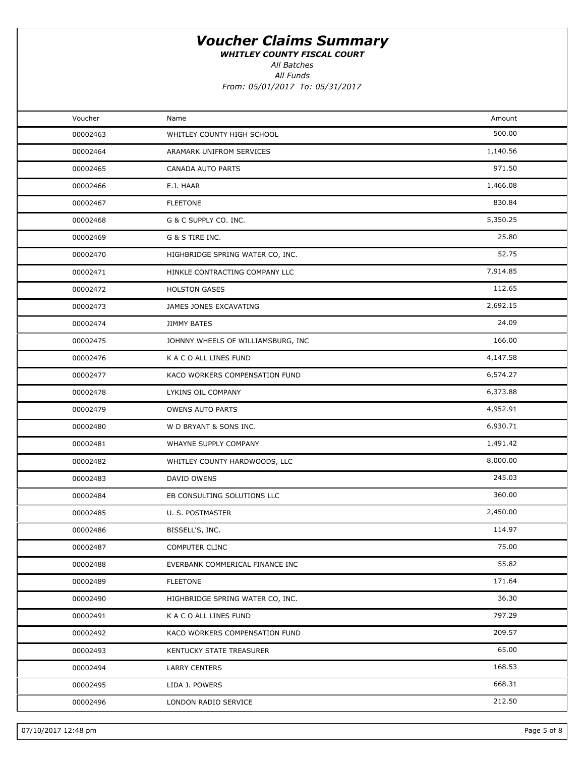WHITLEY COUNTY FISCAL COURT

All Batches

| Voucher  | Name                               | Amount   |  |
|----------|------------------------------------|----------|--|
| 00002463 | WHITLEY COUNTY HIGH SCHOOL         | 500.00   |  |
| 00002464 | ARAMARK UNIFROM SERVICES           | 1,140.56 |  |
| 00002465 | CANADA AUTO PARTS                  | 971.50   |  |
| 00002466 | E.J. HAAR                          | 1,466.08 |  |
| 00002467 | <b>FLEETONE</b>                    | 830.84   |  |
| 00002468 | G & C SUPPLY CO. INC.              | 5,350.25 |  |
| 00002469 | G & S TIRE INC.                    | 25.80    |  |
| 00002470 | HIGHBRIDGE SPRING WATER CO, INC.   | 52.75    |  |
| 00002471 | HINKLE CONTRACTING COMPANY LLC     | 7,914.85 |  |
| 00002472 | <b>HOLSTON GASES</b>               | 112.65   |  |
| 00002473 | JAMES JONES EXCAVATING             | 2,692.15 |  |
| 00002474 | <b>JIMMY BATES</b>                 | 24.09    |  |
| 00002475 | JOHNNY WHEELS OF WILLIAMSBURG, INC | 166.00   |  |
| 00002476 | K A C O ALL LINES FUND             | 4,147.58 |  |
| 00002477 | KACO WORKERS COMPENSATION FUND     | 6,574.27 |  |
| 00002478 | LYKINS OIL COMPANY                 | 6,373.88 |  |
| 00002479 | <b>OWENS AUTO PARTS</b>            | 4,952.91 |  |
| 00002480 | W D BRYANT & SONS INC.             | 6,930.71 |  |
| 00002481 | WHAYNE SUPPLY COMPANY              | 1,491.42 |  |
| 00002482 | WHITLEY COUNTY HARDWOODS, LLC      | 8,000.00 |  |
| 00002483 | DAVID OWENS                        | 245.03   |  |
| 00002484 | EB CONSULTING SOLUTIONS LLC        | 360.00   |  |
| 00002485 | U. S. POSTMASTER                   | 2,450.00 |  |
| 00002486 | BISSELL'S, INC.                    | 114.97   |  |
| 00002487 | COMPUTER CLINC                     | 75.00    |  |
| 00002488 | EVERBANK COMMERICAL FINANCE INC    | 55.82    |  |
| 00002489 | <b>FLEETONE</b>                    | 171.64   |  |
| 00002490 | HIGHBRIDGE SPRING WATER CO, INC.   | 36.30    |  |
| 00002491 | K A C O ALL LINES FUND             | 797.29   |  |
| 00002492 | KACO WORKERS COMPENSATION FUND     | 209.57   |  |
| 00002493 | KENTUCKY STATE TREASURER           | 65.00    |  |
| 00002494 | <b>LARRY CENTERS</b>               | 168.53   |  |
| 00002495 | LIDA J. POWERS                     | 668.31   |  |
| 00002496 | LONDON RADIO SERVICE               | 212.50   |  |
|          |                                    |          |  |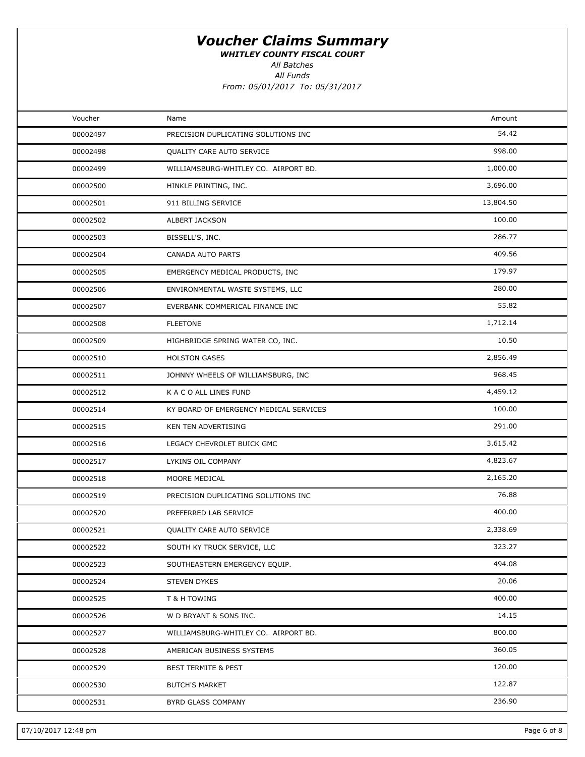WHITLEY COUNTY FISCAL COURT

All Batches

| Voucher  | Name                                   | Amount    |  |
|----------|----------------------------------------|-----------|--|
| 00002497 | PRECISION DUPLICATING SOLUTIONS INC    | 54.42     |  |
| 00002498 | QUALITY CARE AUTO SERVICE              | 998.00    |  |
| 00002499 | WILLIAMSBURG-WHITLEY CO. AIRPORT BD.   | 1,000.00  |  |
| 00002500 | HINKLE PRINTING, INC.                  | 3,696.00  |  |
| 00002501 | 911 BILLING SERVICE                    | 13,804.50 |  |
| 00002502 | ALBERT JACKSON                         | 100.00    |  |
| 00002503 | BISSELL'S, INC.                        | 286.77    |  |
| 00002504 | CANADA AUTO PARTS                      | 409.56    |  |
| 00002505 | EMERGENCY MEDICAL PRODUCTS, INC        | 179.97    |  |
| 00002506 | ENVIRONMENTAL WASTE SYSTEMS, LLC       | 280.00    |  |
| 00002507 | EVERBANK COMMERICAL FINANCE INC        | 55.82     |  |
| 00002508 | <b>FLEETONE</b>                        | 1,712.14  |  |
| 00002509 | HIGHBRIDGE SPRING WATER CO, INC.       | 10.50     |  |
| 00002510 | <b>HOLSTON GASES</b>                   | 2,856.49  |  |
| 00002511 | JOHNNY WHEELS OF WILLIAMSBURG, INC     | 968.45    |  |
| 00002512 | K A C O ALL LINES FUND                 | 4,459.12  |  |
| 00002514 | KY BOARD OF EMERGENCY MEDICAL SERVICES | 100.00    |  |
| 00002515 | KEN TEN ADVERTISING                    | 291.00    |  |
| 00002516 | LEGACY CHEVROLET BUICK GMC             | 3,615.42  |  |
| 00002517 | LYKINS OIL COMPANY                     | 4,823.67  |  |
| 00002518 | MOORE MEDICAL                          | 2,165.20  |  |
| 00002519 | PRECISION DUPLICATING SOLUTIONS INC    | 76.88     |  |
| 00002520 | PREFERRED LAB SERVICE                  | 400.00    |  |
| 00002521 | QUALITY CARE AUTO SERVICE              | 2,338.69  |  |
| 00002522 | SOUTH KY TRUCK SERVICE, LLC            | 323.27    |  |
| 00002523 | SOUTHEASTERN EMERGENCY EQUIP.          | 494.08    |  |
| 00002524 | STEVEN DYKES                           | 20.06     |  |
| 00002525 | T & H TOWING                           | 400.00    |  |
| 00002526 | W D BRYANT & SONS INC.                 | 14.15     |  |
| 00002527 | WILLIAMSBURG-WHITLEY CO. AIRPORT BD.   | 800.00    |  |
| 00002528 | AMERICAN BUSINESS SYSTEMS              | 360.05    |  |
| 00002529 | <b>BEST TERMITE &amp; PEST</b>         | 120.00    |  |
| 00002530 | <b>BUTCH'S MARKET</b>                  | 122.87    |  |
| 00002531 | BYRD GLASS COMPANY                     | 236.90    |  |
|          |                                        |           |  |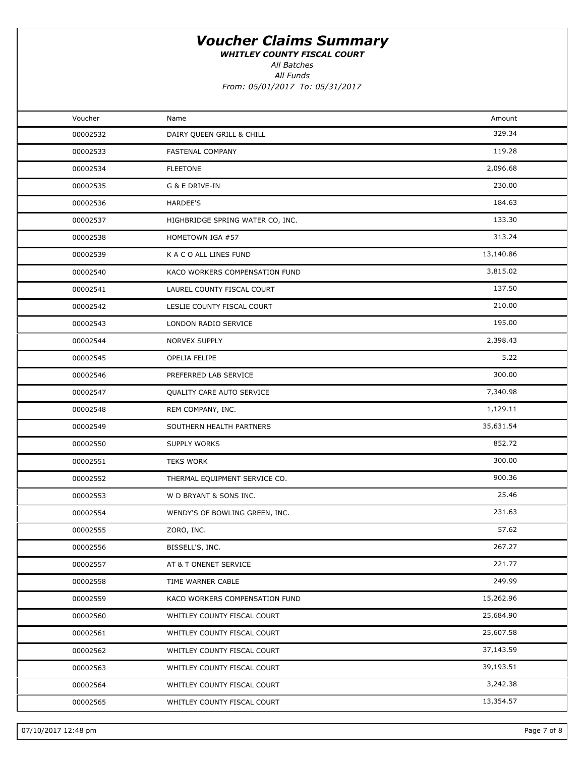WHITLEY COUNTY FISCAL COURT

All Batches

| Voucher  | Name                             | Amount    |  |
|----------|----------------------------------|-----------|--|
| 00002532 | DAIRY QUEEN GRILL & CHILL        | 329.34    |  |
| 00002533 | FASTENAL COMPANY                 | 119.28    |  |
| 00002534 | <b>FLEETONE</b>                  | 2,096.68  |  |
| 00002535 | G & E DRIVE-IN                   | 230.00    |  |
| 00002536 | HARDEE'S                         | 184.63    |  |
| 00002537 | HIGHBRIDGE SPRING WATER CO, INC. | 133.30    |  |
| 00002538 | HOMETOWN IGA #57                 | 313.24    |  |
| 00002539 | K A C O ALL LINES FUND           | 13,140.86 |  |
| 00002540 | KACO WORKERS COMPENSATION FUND   | 3,815.02  |  |
| 00002541 | LAUREL COUNTY FISCAL COURT       | 137.50    |  |
| 00002542 | LESLIE COUNTY FISCAL COURT       | 210.00    |  |
| 00002543 | LONDON RADIO SERVICE             | 195.00    |  |
| 00002544 | NORVEX SUPPLY                    | 2,398.43  |  |
| 00002545 | OPELIA FELIPE                    | 5.22      |  |
| 00002546 | PREFERRED LAB SERVICE            | 300.00    |  |
| 00002547 | QUALITY CARE AUTO SERVICE        | 7,340.98  |  |
| 00002548 | REM COMPANY, INC.                | 1,129.11  |  |
| 00002549 | SOUTHERN HEALTH PARTNERS         | 35,631.54 |  |
| 00002550 | SUPPLY WORKS                     | 852.72    |  |
| 00002551 | <b>TEKS WORK</b>                 | 300.00    |  |
| 00002552 | THERMAL EQUIPMENT SERVICE CO.    | 900.36    |  |
| 00002553 | W D BRYANT & SONS INC.           | 25.46     |  |
| 00002554 | WENDY'S OF BOWLING GREEN, INC.   | 231.63    |  |
| 00002555 | ZORO, INC.                       | 57.62     |  |
| 00002556 | BISSELL'S, INC.                  | 267.27    |  |
| 00002557 | AT & T ONENET SERVICE            | 221.77    |  |
| 00002558 | TIME WARNER CABLE                | 249.99    |  |
| 00002559 | KACO WORKERS COMPENSATION FUND   | 15,262.96 |  |
| 00002560 | WHITLEY COUNTY FISCAL COURT      | 25,684.90 |  |
| 00002561 | WHITLEY COUNTY FISCAL COURT      | 25,607.58 |  |
| 00002562 | WHITLEY COUNTY FISCAL COURT      | 37,143.59 |  |
| 00002563 | WHITLEY COUNTY FISCAL COURT      | 39,193.51 |  |
| 00002564 | WHITLEY COUNTY FISCAL COURT      | 3,242.38  |  |
| 00002565 | WHITLEY COUNTY FISCAL COURT      | 13,354.57 |  |
|          |                                  |           |  |